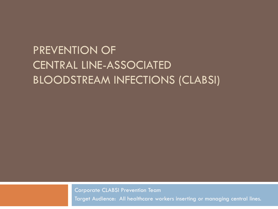## PREVENTION OF CENTRAL LINE-ASSOCIATED BLOODSTREAM INFECTIONS (CLABSI)

Corporate CLABSI Prevention Team

Target Audience: All healthcare workers inserting or managing central lines.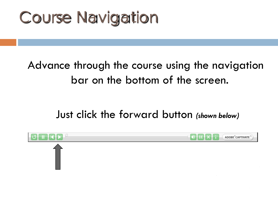# Course Navigation

## Advance through the course using the navigation bar on the bottom of the screen.

Just click the forward button *(shown below)*

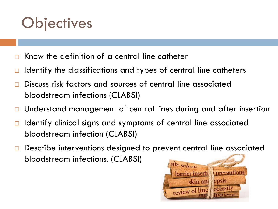# **Objectives**

- Know the definition of a central line catheter
- Identify the classifications and types of central line catheters
- Discuss risk factors and sources of central line associated bloodstream infections (CLABSI)
- Understand management of central lines during and after insertion
- Identify clinical signs and symptoms of central line associated bloodstream infection (CLABSI)
- Describe interventions designed to prevent central line associated bloodstream infections. (CLABSI)

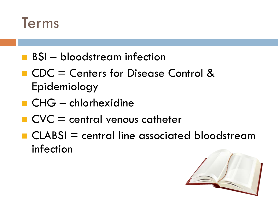

- **BSI** bloodstream infection
- CDC = Centers for Disease Control & Epidemiology
- $\blacksquare$  CHG chlorhexidine
- $\blacksquare$  CVC = central venous catheter
- $\blacksquare$  CLABSI = central line associated bloodstream infection

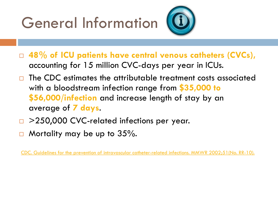# General Information



- **48% of ICU patients have central venous catheters (CVCs),** accounting for 15 million CVC-days per year in ICUs.
- The CDC estimates the attributable treatment costs associated with a bloodstream infection range from **\$35,000 to \$56,000/infection** and increase length of stay by an average of **7 days**.
- >250,000 CVC-related infections per year.
- Mortality may be up to 35%.

[CDC. Guidelines for the prevention of intravascular catheter-related infections. MMWR 2002;51\(No. RR-10\).](http://www.cdc.gov/MMWR/preview/mmwrhtml/rr5110a1.htm)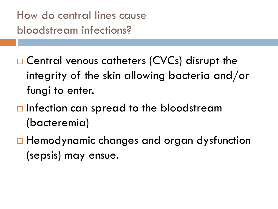How do central lines cause bloodstream infections?

□ Central venous catheters (CVCs) disrupt the integrity of the skin allowing bacteria and/or fungi to enter.

- $\Box$  Infection can spread to the bloodstream (bacteremia)
- □ Hemodynamic changes and organ dysfunction (sepsis) may ensue.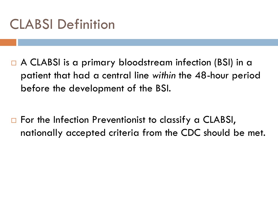# CLABSI Definition

□ A CLABSI is a primary bloodstream infection (BSI) in a patient that had a central line *within* the 48-hour period before the development of the BSI.

 $\Box$  For the Infection Preventionist to classify a CLABSI, nationally accepted criteria from the CDC should be met.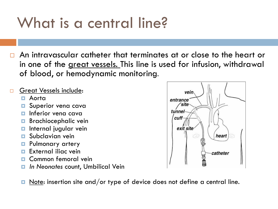# What is a central line?

- An intravascular catheter that terminates at or close to the heart or in one of the great vessels. This line is used for infusion, withdrawal of blood, or hemodynamic monitoring.
- Great Vessels include:
	- Aorta
	- **D** Superior vena cava
	- **n** Inferior vena cava
	- **Brachiocephalic vein**
	- **<u>n</u>** Internal jugular vein
	- **D** Subclavian vein
	- **Pulmonary artery**
	- **External iliac vein**
	- Common femoral vein
	- *In Neonates* count, Umbilical Vein



 $\blacksquare$  Note: insertion site and/or type of device does not define a central line.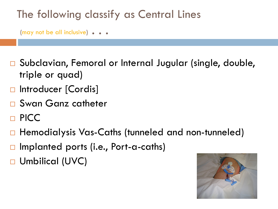## The following classify as Central Lines

(may not be all inclusive) . . .

- Subclavian, Femoral or Internal Jugular (single, double, triple or quad)
- **D** Introducer [Cordis]
- □ Swan Ganz catheter
- □ PICC
- Hemodialysis Vas-Caths (tunneled and non-tunneled)
- Implanted ports (i.e., Port-a-caths)
- Umbilical (UVC)

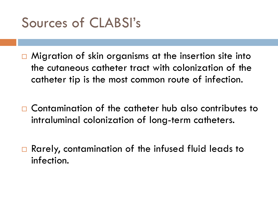

 $\Box$  Migration of skin organisms at the insertion site into the cutaneous catheter tract with colonization of the catheter tip is the most common route of infection.

□ Contamination of the catheter hub also contributes to intraluminal colonization of long-term catheters.

□ Rarely, contamination of the infused fluid leads to infection.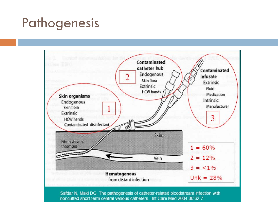# Pathogenesis

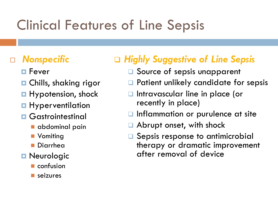# Clinical Features of Line Sepsis

### *Nonspecific*

- **□** Fever
- **□ Chills, shaking rigor**
- **Hypotension, shock**
- **Hyperventilation**
- **<u>n</u>** Gastrointestinal
	- **a** abdominal pain
	- **Nomiting**
	- Diarrhea
- **Neurologic** 
	- **n** confusion
	- seizures

## *Highly Suggestive of Line Sepsis*

- **□** Source of sepsis unapparent
- □ Patient unlikely candidate for sepsis
- Intravascular line in place (or recently in place)
- Inflammation or purulence at site
- Abrupt onset, with shock
- Sepsis response to antimicrobial therapy or dramatic improvement after removal of device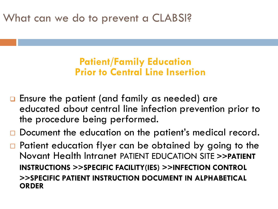What can we do to prevent a CLABSI?

### **Patient/Family Education Prior to Central Line Insertion**

- **Ensure the patient (and family as needed) are** educated about central line infection prevention prior to the procedure being performed.
- □ Document the education on the patient's medical record.
- □ Patient education flyer can be obtained by going to the Novant Health Intranet PATIENT EDUCATION SITE **>>PATIENT INSTRUCTIONS >>SPECIFIC FACILITY(IES) >>INFECTION CONTROL >>SPECIFIC PATIENT INSTRUCTION DOCUMENT IN ALPHABETICAL ORDER**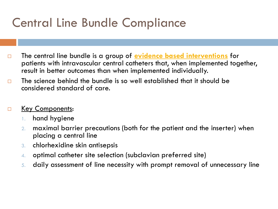## Central Line Bundle Compliance

- The central line bundle is a group of **evidence based interventions** for patients with intravascular central catheters that, when implemented together, result in better outcomes than when implemented individually.
- $\Box$  The science behind the bundle is so well established that it should be considered standard of care.

#### **E** Key Components:

- 1. hand hygiene
- 2. maximal barrier precautions (both for the patient and the inserter) when placing a central line
- 3. chlorhexidine skin antisepsis
- 4. optimal catheter site selection (subclavian preferred site)
- 5. daily assessment of line necessity with prompt removal of unnecessary line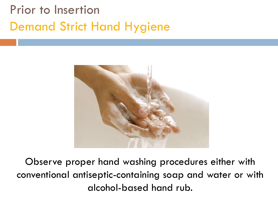# Prior to Insertion Demand Strict Hand Hygiene



Observe proper hand washing procedures either with conventional antiseptic-containing soap and water or with alcohol-based hand rub.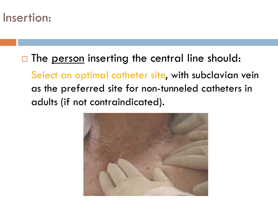## Insertion:

## $\Box$  The <u>person</u> inserting the central line should: Select an optimal catheter site, with subclavian vein as the preferred site for non-tunneled catheters in adults (if not contraindicated).

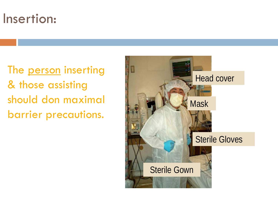# Insertion:

The person inserting & those assisting should don maximal barrier precautions.

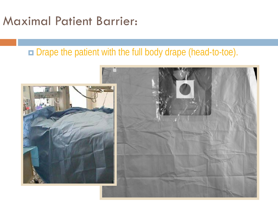## Maximal Patient Barrier:

## Drape the patient with the full body drape (head-to-toe).

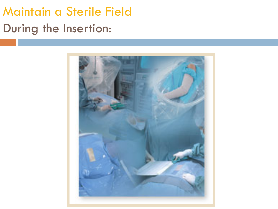# Maintain a Sterile Field During the Insertion:

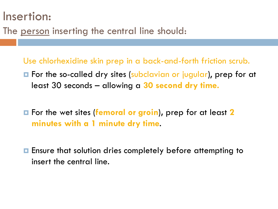## Insertion:

The person inserting the central line should:

Use chlorhexidine skin prep in a back-and-forth friction scrub.

- **E** For the so-called dry sites (subclavian or jugular), prep for at least 30 seconds – allowing a **30 second dry time.**
- For the wet sites (**femoral or groin**)**,** prep for at least **2 minutes with a 1 minute dry time**.
- **E** Ensure that solution dries completely before attempting to insert the central line.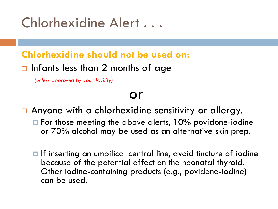# Chlorhexidine Alert ...

### **Chlorhexidine should not be used on:**

### $\Box$  Infants less than 2 months of age

*(unless approved by your facility)*

# or

- Anyone with a chlorhexidine sensitivity or allergy.
	- $\blacksquare$  For those meeting the above alerts, 10% povidone-iodine or 70% alcohol may be used as an alternative skin prep.
	- If inserting an umbilical central line, avoid tincture of iodine because of the potential effect on the neonatal thyroid. Other iodine-containing products (e.g., povidone-iodine) can be used.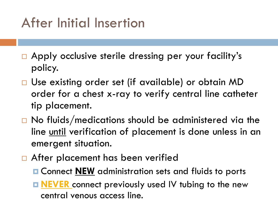# After Initial Insertion

- □ Apply occlusive sterile dressing per your facility's policy.
- □ Use existing order set (if available) or obtain MD order for a chest x-ray to verify central line catheter tip placement.
- $\Box$  No fluids/medications should be administered via the line until verification of placement is done unless in an emergent situation.
- □ After placement has been verified
	- **E** Connect **NEW** administration sets and fluids to ports
	- **NEVER** connect previously used IV tubing to the new central venous access line.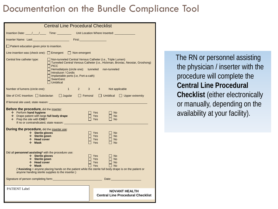### Documentation on the Bundle Compliance Tool

| <b>Central Line Procedural Checklist</b>                                                                                                                                                                                                                                                                                                                                      |                                                                                                    |  |  |  |  |  |
|-------------------------------------------------------------------------------------------------------------------------------------------------------------------------------------------------------------------------------------------------------------------------------------------------------------------------------------------------------------------------------|----------------------------------------------------------------------------------------------------|--|--|--|--|--|
|                                                                                                                                                                                                                                                                                                                                                                               |                                                                                                    |  |  |  |  |  |
|                                                                                                                                                                                                                                                                                                                                                                               |                                                                                                    |  |  |  |  |  |
| Patient education given prior to insertion.                                                                                                                                                                                                                                                                                                                                   |                                                                                                    |  |  |  |  |  |
| Line insertion was (check one): $\Box$ Emergent $\Box$ Non-emergent                                                                                                                                                                                                                                                                                                           |                                                                                                    |  |  |  |  |  |
| Central line catheter type:<br>Non-tunneled Central Venous Catheter (i.e., Triple Lumen)<br>□ Tunneled Central Venous Catheter (i.e., Hickman, Broviac, Neostar, Groshong)<br>$\Box$ PICC<br>Hemodialysis (circle one): tunneled non-tunneled<br>□ Introducer / Cordis<br>$\Box$ Implantable ports (i.e, Port-a-cath)<br>$\sqcap$ SwanGanz<br>$\Box$ Umbilical                |                                                                                                    |  |  |  |  |  |
| Number of lumens (circle one):                                                                                                                                                                                                                                                                                                                                                | 1 2 3 4 Not applicable                                                                             |  |  |  |  |  |
|                                                                                                                                                                                                                                                                                                                                                                               | Site of CVC Insertion: □ Subclavian □ Jugular □ Femoral<br>$\Box$ Umbilical $\Box$ Upper extremity |  |  |  |  |  |
|                                                                                                                                                                                                                                                                                                                                                                               |                                                                                                    |  |  |  |  |  |
| <b>Before the procedure, did the inserter:</b><br>❖ Perform hand hygiene<br>$\Box$ Yes<br>$\Box$ No<br>Drape patient with large full body drape<br>$\Box$ Yes<br>$\Box$ No<br>❖ Prep the site with CHG?<br>$\Box$ Yes<br>$\Box$ No<br>If no or contraindicated, state reason: ____________                                                                                    |                                                                                                    |  |  |  |  |  |
| <b>During the procedure, did the inserter use:</b><br>❖ Sterile gloves<br>❖ Sterile gown<br>❖ Head cover<br>$\div$ Mask                                                                                                                                                                                                                                                       | Yes<br>I No<br>Yes<br>$\Box$ No<br>Yes<br>$\Box$ No<br>$\Box$ No<br>Yes                            |  |  |  |  |  |
| Did all personnel assisting* with the procedure use:<br>❖ Sterile gloves<br>$\Box$ No<br>Yes Not<br>❖ Sterile gown<br>∃ Yes ⊺<br>$\Box$ No<br>❖ Head cover<br>Yes<br>$\Box$ No<br>$\div$ Mask<br>Yes<br>T No<br>(*Assisting = anyone placing hands on the patient while the sterile full body drape is on the patient or<br>anyone handing sterile supplies to the inserter.) |                                                                                                    |  |  |  |  |  |
|                                                                                                                                                                                                                                                                                                                                                                               |                                                                                                    |  |  |  |  |  |
| <b>PATIENT Label</b>                                                                                                                                                                                                                                                                                                                                                          | <b>NOVANT HEALTH</b><br><b>Central Line Procedural Checklist</b>                                   |  |  |  |  |  |

 The RN or personnel assisting the physician / inserter with the procedure will complete the **Central Line Procedural Checklist** (either electronically or manually, depending on the availability at your facility).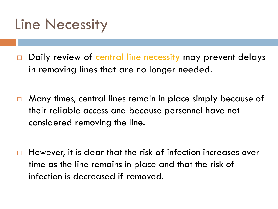# Line Necessity

- Daily review of central line necessity may prevent delays in removing lines that are no longer needed.
- Many times, central lines remain in place simply because of their reliable access and because personnel have not considered removing the line.
- $\Box$  However, it is clear that the risk of infection increases over time as the line remains in place and that the risk of infection is decreased if removed.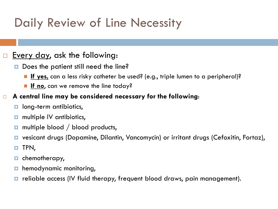# Daily Review of Line Necessity

#### Every day, ask the following:

- Does the patient still need the line?
	- **If yes,** can a less risky catheter be used? (e.g., triple lumen to a peripheral)?
	- **If no**, can we remove the line today?

#### **A central line may be considered necessary for the following**:

- **n** long-term antibiotics,
- **n** multiple IV antibiotics,
- **n** multiple blood / blood products,
- vesicant drugs (Dopamine, Dilantin, Vancomycin) or irritant drugs (Cefoxitin, Fortaz),
- **O** TPN,
- **<u>n</u>** chemotherapy,
- hemodynamic monitoring,
- reliable access (IV fluid therapy, frequent blood draws, pain management).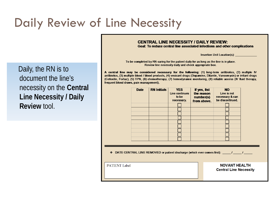# Daily Review of Line Necessity

 Daily, the RN is to document the line's necessity on the **Central Line Necessity / Daily Review** tool.

#### **CENTRAL LINE NECESSITY / DAILY REVIEW:**

Goal: To reduce central line associated infections and other complications

**Insertion Unit Location(s):** 

To be completed by RN caring for the patient daily for as long as the line is in place. Review line necessity daily and check appropriate box.

A central line may be considered necessary for the following: (1) long-term antibiotics, (2) multiple IV antibiotics, (3) multiple blood / blood products, (4) vesicant drugs (Dopamine, Dilantin, Vancomycin) or irritant drugs (Cefoxitin, Fortaz), (5) TPN, (6) chemotherapy, (7) hemodynamic monitoring, (8) reliable access (IV fluid therapy, frequent blood draws, pain management).

|                                                                                              | <b>Date</b> | <b>RN Initials</b> | <b>YES</b><br>Line continues<br>to be<br>necessary. | If yes, list<br>the reason<br>number(s)<br>from above. | <b>NO</b><br>Line is not<br>necessary & can<br>be discontinued. |  |  |  |
|----------------------------------------------------------------------------------------------|-------------|--------------------|-----------------------------------------------------|--------------------------------------------------------|-----------------------------------------------------------------|--|--|--|
|                                                                                              |             |                    |                                                     |                                                        |                                                                 |  |  |  |
|                                                                                              |             |                    |                                                     |                                                        |                                                                 |  |  |  |
|                                                                                              |             |                    |                                                     |                                                        |                                                                 |  |  |  |
| DATE CENTRAL LINE REMOVED or patient discharge (which ever comes first): 1<br><b>Section</b> |             |                    |                                                     |                                                        |                                                                 |  |  |  |
| <b>PATIENT Label</b>                                                                         |             |                    |                                                     |                                                        | <b>NOVANT HEALTH</b><br><b>Central Line Necessity</b>           |  |  |  |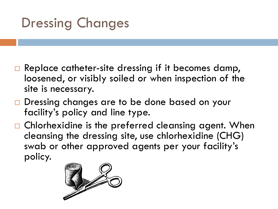# Dressing Changes

- $\Box$  Replace catheter-site dressing if it becomes damp, loosened, or visibly soiled or when inspection of the site is necessary.
- □ Dressing changes are to be done based on your facility's policy and line type.
- $\Box$  Chlorhexidine is the preferred cleansing agent. When cleansing the dressing site, use chlorhexidine (CHG) swab or other approved agents per your facility's policy.

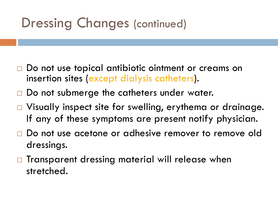# Dressing Changes (continued)

- □ Do not use topical antibiotic ointment or creams on insertion sites (except dialysis catheters).
- □ Do not submerge the catheters under water.
- □ Visually inspect site for swelling, erythema or drainage. If any of these symptoms are present notify physician.
- Do not use acetone or adhesive remover to remove old dressings.
- $\Box$  Transparent dressing material will release when stretched.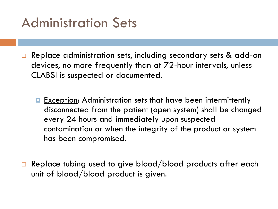# Administration Sets

- Replace administration sets, including secondary sets & add-on devices, no more frequently than at 72-hour intervals, unless CLABSI is suspected or documented.
	- **Exception:** Administration sets that have been intermittently disconnected from the patient (open system) shall be changed every 24 hours and immediately upon suspected contamination or when the integrity of the product or system has been compromised.
- $\Box$  Replace tubing used to give blood/blood products after each unit of blood/blood product is given.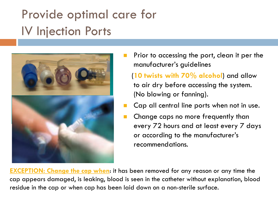# Provide optimal care for IV Injection Ports



 Prior to accessing the port, clean it per the manufacturer's guidelines

 (**10 twists with 70% alcohol**) and allow to air dry before accessing the system. (No blowing or fanning).

- Cap all central line ports when not in use.
- Change caps no more frequently than every 72 hours and at least every 7 days or according to the manufacturer's recommendations.

**EXCEPTION: Change the cap when**: it has been removed for any reason or any time the cap appears damaged, is leaking, blood is seen in the catheter without explanation, blood residue in the cap or when cap has been laid down on a non-sterile surface.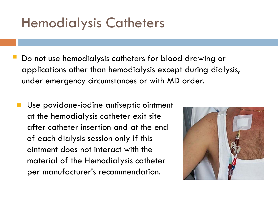# Hemodialysis Catheters

- Do not use hemodialysis catheters for blood drawing or applications other than hemodialysis except during dialysis, under emergency circumstances or with MD order.
- **Use povidone-iodine antiseptic ointment** at the hemodialysis catheter exit site after catheter insertion and at the end of each dialysis session only if this ointment does not interact with the material of the Hemodialysis catheter per manufacturer's recommendation.

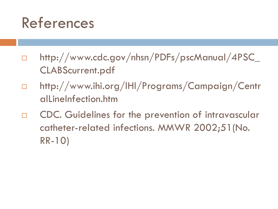# References

- http://www.cdc.gov/nhsn/PDFs/pscManual/4PSC\_ CLABScurrent.pdf
- http://www.ihi.org/IHI/Programs/Campaign/Centr alLineInfection.htm
- $\Box$  CDC. Guidelines for the prevention of intravascular catheter-related infections. MMWR 2002;51(No. RR-10)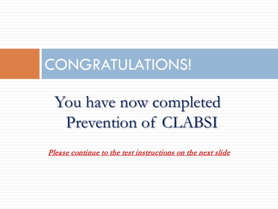

# You have now completed **Prevention of CLABSI**

Please continue to the test instructions on the next slide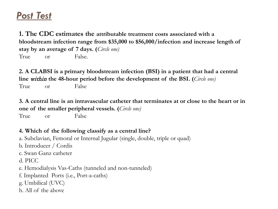### *Post Test*

**1. The CDC estimates the attributable treatment costs associated with a bloodstream infection range from \$35,000 to \$56,000/infection and increase length of stay by an average of 7 days. (***Circle one)* True or False.

**2. A CLABSI is a primary bloodstream infection (BSI) in a patient that had a central line** within **the 48-hour period before the development of the BSI. (***Circle one)*

True or False

**3. A central line is an intravascular catheter that terminates at or close to the heart or in one of the smaller peripheral vessels. (***Circle one)*

True or False

#### **4. Which of the following classify as a central line?**

a. Subclavian, Femoral or Internal Jugular (single, double, triple or quad) b. Introducer / Cordis c. Swan Ganz catheter d. PICC e. Hemodialysis Vas-Caths (tunneled and non-tunneled) f. Implanted Ports (i.e., Port-a-caths) g. Umbilical (UVC) h. All of the above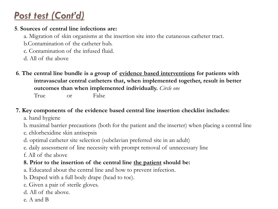### *Post test (Cont'd)*

#### **5**. **Sources of central line infections are:**

a. Migration of skin organisms at the insertion site into the cutaneous catheter tract.

b.Contamination of the catheter hub.

- c. Contamination of the infused fluid.
- d. All of the above
- **6**. **The central line bundle is a group of evidence based interventions for patients with intravascular central catheters that, when implemented together, result in better outcomes than when implemented individually.** *Circle one*

True or False

#### **7. Key components of the evidence based central line insertion checklist includes:**

a. hand hygiene

b. maximal barrier precautions (both for the patient and the inserter) when placing a central line

c. chlorhexidine skin antisepsis

d. optimal catheter site selection (subclavian preferred site in an adult)

e. daily assessment of line necessity with prompt removal of unnecessary line

f. All of the above

#### **8. Prior to the insertion of the central line the patient should be:**

a. Educated about the central line and how to prevent infection.

b. Draped with a full body drape (head to toe).

c. Given a pair of sterile gloves.

- d. All of the above.
- e. A and B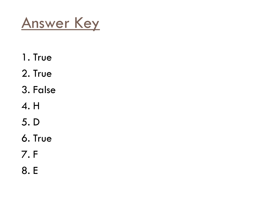Answer Key

- 1. True
- 2. True
- 3. False
- 4. H
- 5. D
- 6. True
- 7. F
- 8. E